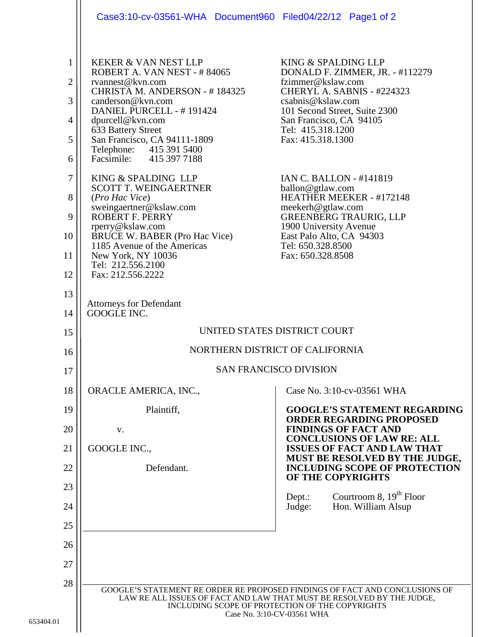|                                                                                                 | Case3:10-cv-03561-WHA Document960 Filed04/22/12 Page1 of 2                                                                                                                                                                                                                                                                                                                                                                                                                                                                                                               |                                                                                                                                                                                                                                                                                                                                                                                                                                                                              |
|-------------------------------------------------------------------------------------------------|--------------------------------------------------------------------------------------------------------------------------------------------------------------------------------------------------------------------------------------------------------------------------------------------------------------------------------------------------------------------------------------------------------------------------------------------------------------------------------------------------------------------------------------------------------------------------|------------------------------------------------------------------------------------------------------------------------------------------------------------------------------------------------------------------------------------------------------------------------------------------------------------------------------------------------------------------------------------------------------------------------------------------------------------------------------|
| $\mathbf{1}$<br>$\overline{2}$<br>3<br>$\overline{4}$<br>5<br>6<br>$\tau$<br>8<br>9<br>10<br>11 | <b>KEKER &amp; VAN NEST LLP</b><br>ROBERT A. VAN NEST - #84065<br>rvannest@kvn.com<br>CHRISTA M. ANDERSON - #184325<br>canderson@kvn.com<br>DANIEL PURCELL - #191424<br>dpurcell@kvn.com<br>633 Battery Street<br>San Francisco, CA 94111-1809<br>Telephone: 415 391 5400<br>Facsimile: 415 397 7188<br>KING & SPALDING LLP<br><b>SCOTT T. WEINGAERTNER</b><br>(Pro Hac Vice)<br>sweingaertner@kslaw.com<br><b>ROBERT F. PERRY</b><br>rperry@kslaw.com<br><b>BRUCE W. BABER (Pro Hac Vice)</b><br>1185 Avenue of the Americas<br>New York, NY 10036<br>Tel: 212.556.2100 | KING & SPALDING LLP<br>DONALD F. ZIMMER, JR. - #112279<br>fzimmer@kslaw.com<br>CHERYL A. SABNIS - #224323<br>csabnis@kslaw.com<br>101 Second Street, Suite 2300<br>San Francisco, CA 94105<br>Tel: 415.318.1200<br>Fax: 415.318.1300<br><b>IAN C. BALLON - #141819</b><br>ballon@gtlaw.com<br>HEATHER MEEKER - #172148<br>meekerh@gtlaw.com<br><b>GREENBERG TRAURIG, LLP</b><br>1900 University Avenue<br>East Palo Alto, CA 94303<br>Tel: 650.328.8500<br>Fax: 650.328.8508 |
| 12<br>13                                                                                        | Fax: 212.556.2222                                                                                                                                                                                                                                                                                                                                                                                                                                                                                                                                                        |                                                                                                                                                                                                                                                                                                                                                                                                                                                                              |
| 14                                                                                              | <b>Attorneys for Defendant</b><br>GOOGLE INC.                                                                                                                                                                                                                                                                                                                                                                                                                                                                                                                            |                                                                                                                                                                                                                                                                                                                                                                                                                                                                              |
| 15                                                                                              | UNITED STATES DISTRICT COURT                                                                                                                                                                                                                                                                                                                                                                                                                                                                                                                                             |                                                                                                                                                                                                                                                                                                                                                                                                                                                                              |
| 16                                                                                              | NORTHERN DISTRICT OF CALIFORNIA                                                                                                                                                                                                                                                                                                                                                                                                                                                                                                                                          |                                                                                                                                                                                                                                                                                                                                                                                                                                                                              |
| 17                                                                                              | <b>SAN FRANCISCO DIVISION</b>                                                                                                                                                                                                                                                                                                                                                                                                                                                                                                                                            |                                                                                                                                                                                                                                                                                                                                                                                                                                                                              |
| 18                                                                                              | ORACLE AMERICA, INC.,                                                                                                                                                                                                                                                                                                                                                                                                                                                                                                                                                    | Case No. 3:10-cv-03561 WHA                                                                                                                                                                                                                                                                                                                                                                                                                                                   |
| 19                                                                                              | Plaintiff,                                                                                                                                                                                                                                                                                                                                                                                                                                                                                                                                                               | <b>GOOGLE'S STATEMENT REGARDING</b><br><b>ORDER REGARDING PROPOSED</b><br><b>FINDINGS OF FACT AND</b>                                                                                                                                                                                                                                                                                                                                                                        |
| 20<br>21                                                                                        | V.<br>GOOGLE INC.,                                                                                                                                                                                                                                                                                                                                                                                                                                                                                                                                                       | <b>CONCLUSIONS OF LAW RE: ALL</b><br><b>ISSUES OF FACT AND LAW THAT</b>                                                                                                                                                                                                                                                                                                                                                                                                      |
| 22                                                                                              | Defendant.                                                                                                                                                                                                                                                                                                                                                                                                                                                                                                                                                               | MUST BE RESOLVED BY THE JUDGE,<br><b>INCLUDING SCOPE OF PROTECTION</b>                                                                                                                                                                                                                                                                                                                                                                                                       |
| 23                                                                                              |                                                                                                                                                                                                                                                                                                                                                                                                                                                                                                                                                                          | OF THE COPYRIGHTS                                                                                                                                                                                                                                                                                                                                                                                                                                                            |
| 24                                                                                              |                                                                                                                                                                                                                                                                                                                                                                                                                                                                                                                                                                          | Courtroom 8, $19th$ Floor<br>Depth:<br>Judge:<br>Hon. William Alsup                                                                                                                                                                                                                                                                                                                                                                                                          |
| 25                                                                                              |                                                                                                                                                                                                                                                                                                                                                                                                                                                                                                                                                                          |                                                                                                                                                                                                                                                                                                                                                                                                                                                                              |
| 26                                                                                              |                                                                                                                                                                                                                                                                                                                                                                                                                                                                                                                                                                          |                                                                                                                                                                                                                                                                                                                                                                                                                                                                              |
| 27                                                                                              |                                                                                                                                                                                                                                                                                                                                                                                                                                                                                                                                                                          |                                                                                                                                                                                                                                                                                                                                                                                                                                                                              |
| 28<br>01                                                                                        | GOOGLE'S STATEMENT RE ORDER RE PROPOSED FINDINGS OF FACT AND CONCLUSIONS OF<br>LAW RE ALL ISSUES OF FACT AND LAW THAT MUST BE RESOLVED BY THE JUDGE,<br>INCLUDING SCOPE OF PROTECTION OF THE COPYRIGHTS<br>Case No. 3:10-CV-03561 WHA                                                                                                                                                                                                                                                                                                                                    |                                                                                                                                                                                                                                                                                                                                                                                                                                                                              |